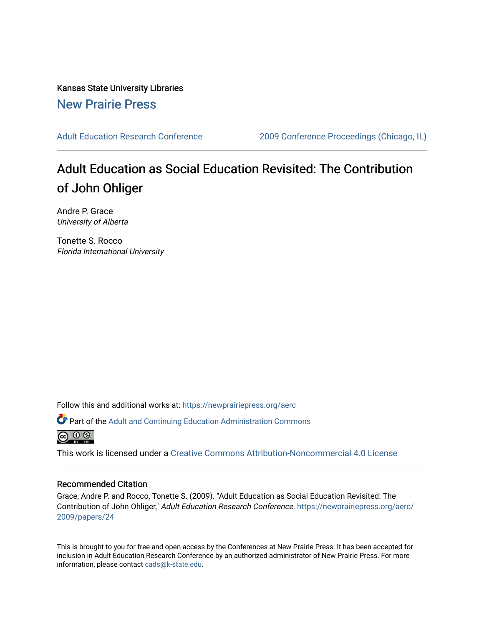Kansas State University Libraries [New Prairie Press](https://newprairiepress.org/) 

[Adult Education Research Conference](https://newprairiepress.org/aerc) [2009 Conference Proceedings \(Chicago, IL\)](https://newprairiepress.org/aerc/2009) 

# Adult Education as Social Education Revisited: The Contribution of John Ohliger

Andre P. Grace University of Alberta

Tonette S. Rocco Florida International University

Follow this and additional works at: [https://newprairiepress.org/aerc](https://newprairiepress.org/aerc?utm_source=newprairiepress.org%2Faerc%2F2009%2Fpapers%2F24&utm_medium=PDF&utm_campaign=PDFCoverPages)

Part of the [Adult and Continuing Education Administration Commons](http://network.bepress.com/hgg/discipline/789?utm_source=newprairiepress.org%2Faerc%2F2009%2Fpapers%2F24&utm_medium=PDF&utm_campaign=PDFCoverPages)



This work is licensed under a [Creative Commons Attribution-Noncommercial 4.0 License](https://creativecommons.org/licenses/by-nc/4.0/)

#### Recommended Citation

Grace, Andre P. and Rocco, Tonette S. (2009). "Adult Education as Social Education Revisited: The Contribution of John Ohliger," Adult Education Research Conference. [https://newprairiepress.org/aerc/](https://newprairiepress.org/aerc/2009/papers/24) [2009/papers/24](https://newprairiepress.org/aerc/2009/papers/24)

This is brought to you for free and open access by the Conferences at New Prairie Press. It has been accepted for inclusion in Adult Education Research Conference by an authorized administrator of New Prairie Press. For more information, please contact [cads@k-state.edu](mailto:cads@k-state.edu).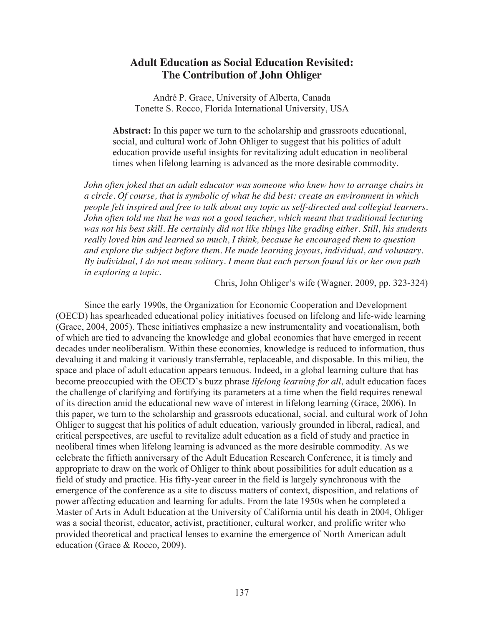# **Adult Education as Social Education Revisited: The Contribution of John Ohliger**

André P. Grace, University of Alberta, Canada Tonette S. Rocco, Florida International University, USA

**Abstract:** In this paper we turn to the scholarship and grassroots educational, social, and cultural work of John Ohliger to suggest that his politics of adult education provide useful insights for revitalizing adult education in neoliberal times when lifelong learning is advanced as the more desirable commodity.

*John often joked that an adult educator was someone who knew how to arrange chairs in a circle. Of course, that is symbolic of what he did best: create an environment in which people felt inspired and free to talk about any topic as self-directed and collegial learners. John often told me that he was not a good teacher, which meant that traditional lecturing was not his best skill. He certainly did not like things like grading either. Still, his students really loved him and learned so much, I think, because he encouraged them to question and explore the subject before them. He made learning joyous, individual, and voluntary. By individual, I do not mean solitary. I mean that each person found his or her own path in exploring a topic.* 

Chris, John Ohliger's wife (Wagner, 2009, pp. 323-324)

Since the early 1990s, the Organization for Economic Cooperation and Development (OECD) has spearheaded educational policy initiatives focused on lifelong and life-wide learning (Grace, 2004, 2005). These initiatives emphasize a new instrumentality and vocationalism, both of which are tied to advancing the knowledge and global economies that have emerged in recent decades under neoliberalism. Within these economies, knowledge is reduced to information, thus devaluing it and making it variously transferrable, replaceable, and disposable. In this milieu, the space and place of adult education appears tenuous. Indeed, in a global learning culture that has become preoccupied with the OECD's buzz phrase *lifelong learning for all,* adult education faces the challenge of clarifying and fortifying its parameters at a time when the field requires renewal of its direction amid the educational new wave of interest in lifelong learning (Grace, 2006). In this paper, we turn to the scholarship and grassroots educational, social, and cultural work of John Ohliger to suggest that his politics of adult education, variously grounded in liberal, radical, and critical perspectives, are useful to revitalize adult education as a field of study and practice in neoliberal times when lifelong learning is advanced as the more desirable commodity. As we celebrate the fiftieth anniversary of the Adult Education Research Conference, it is timely and appropriate to draw on the work of Ohliger to think about possibilities for adult education as a field of study and practice. His fifty-year career in the field is largely synchronous with the emergence of the conference as a site to discuss matters of context, disposition, and relations of power affecting education and learning for adults. From the late 1950s when he completed a Master of Arts in Adult Education at the University of California until his death in 2004, Ohliger was a social theorist, educator, activist, practitioner, cultural worker, and prolific writer who provided theoretical and practical lenses to examine the emergence of North American adult education (Grace & Rocco, 2009).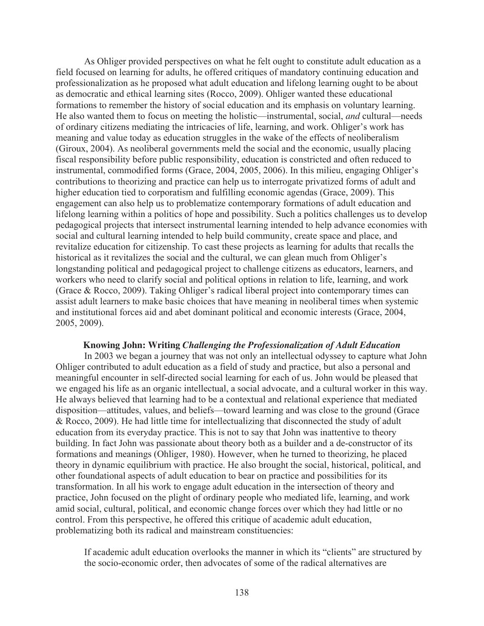As Ohliger provided perspectives on what he felt ought to constitute adult education as a field focused on learning for adults, he offered critiques of mandatory continuing education and professionalization as he proposed what adult education and lifelong learning ought to be about as democratic and ethical learning sites (Rocco, 2009). Ohliger wanted these educational formations to remember the history of social education and its emphasis on voluntary learning. He also wanted them to focus on meeting the holistic—instrumental, social, *and* cultural—needs of ordinary citizens mediating the intricacies of life, learning, and work. Ohliger's work has meaning and value today as education struggles in the wake of the effects of neoliberalism (Giroux, 2004). As neoliberal governments meld the social and the economic, usually placing fiscal responsibility before public responsibility, education is constricted and often reduced to instrumental, commodified forms (Grace, 2004, 2005, 2006). In this milieu, engaging Ohliger's contributions to theorizing and practice can help us to interrogate privatized forms of adult and higher education tied to corporatism and fulfilling economic agendas (Grace, 2009). This engagement can also help us to problematize contemporary formations of adult education and lifelong learning within a politics of hope and possibility. Such a politics challenges us to develop pedagogical projects that intersect instrumental learning intended to help advance economies with social and cultural learning intended to help build community, create space and place, and revitalize education for citizenship. To cast these projects as learning for adults that recalls the historical as it revitalizes the social and the cultural, we can glean much from Ohliger's longstanding political and pedagogical project to challenge citizens as educators, learners, and workers who need to clarify social and political options in relation to life, learning, and work (Grace & Rocco, 2009). Taking Ohliger's radical liberal project into contemporary times can assist adult learners to make basic choices that have meaning in neoliberal times when systemic and institutional forces aid and abet dominant political and economic interests (Grace, 2004, 2005, 2009).

#### **Knowing John: Writing** *Challenging the Professionalization of Adult Education*

In 2003 we began a journey that was not only an intellectual odyssey to capture what John Ohliger contributed to adult education as a field of study and practice, but also a personal and meaningful encounter in self-directed social learning for each of us. John would be pleased that we engaged his life as an organic intellectual, a social advocate, and a cultural worker in this way. He always believed that learning had to be a contextual and relational experience that mediated disposition—attitudes, values, and beliefs—toward learning and was close to the ground (Grace & Rocco, 2009). He had little time for intellectualizing that disconnected the study of adult education from its everyday practice. This is not to say that John was inattentive to theory building. In fact John was passionate about theory both as a builder and a de-constructor of its formations and meanings (Ohliger, 1980). However, when he turned to theorizing, he placed theory in dynamic equilibrium with practice. He also brought the social, historical, political, and other foundational aspects of adult education to bear on practice and possibilities for its transformation. In all his work to engage adult education in the intersection of theory and practice, John focused on the plight of ordinary people who mediated life, learning, and work amid social, cultural, political, and economic change forces over which they had little or no control. From this perspective, he offered this critique of academic adult education, problematizing both its radical and mainstream constituencies:

If academic adult education overlooks the manner in which its "clients" are structured by the socio-economic order, then advocates of some of the radical alternatives are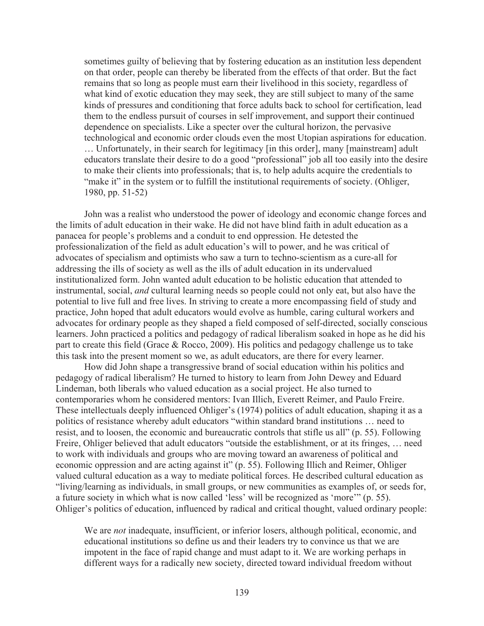sometimes guilty of believing that by fostering education as an institution less dependent on that order, people can thereby be liberated from the effects of that order. But the fact remains that so long as people must earn their livelihood in this society, regardless of what kind of exotic education they may seek, they are still subject to many of the same kinds of pressures and conditioning that force adults back to school for certification, lead them to the endless pursuit of courses in self improvement, and support their continued dependence on specialists. Like a specter over the cultural horizon, the pervasive technological and economic order clouds even the most Utopian aspirations for education. … Unfortunately, in their search for legitimacy [in this order], many [mainstream] adult educators translate their desire to do a good "professional" job all too easily into the desire to make their clients into professionals; that is, to help adults acquire the credentials to "make it" in the system or to fulfill the institutional requirements of society. (Ohliger, 1980, pp. 51-52)

John was a realist who understood the power of ideology and economic change forces and the limits of adult education in their wake. He did not have blind faith in adult education as a panacea for people's problems and a conduit to end oppression. He detested the professionalization of the field as adult education's will to power, and he was critical of advocates of specialism and optimists who saw a turn to techno-scientism as a cure-all for addressing the ills of society as well as the ills of adult education in its undervalued institutionalized form. John wanted adult education to be holistic education that attended to instrumental, social, *and* cultural learning needs so people could not only eat, but also have the potential to live full and free lives. In striving to create a more encompassing field of study and practice, John hoped that adult educators would evolve as humble, caring cultural workers and advocates for ordinary people as they shaped a field composed of self-directed, socially conscious learners. John practiced a politics and pedagogy of radical liberalism soaked in hope as he did his part to create this field (Grace & Rocco, 2009). His politics and pedagogy challenge us to take this task into the present moment so we, as adult educators, are there for every learner.

How did John shape a transgressive brand of social education within his politics and pedagogy of radical liberalism? He turned to history to learn from John Dewey and Eduard Lindeman, both liberals who valued education as a social project. He also turned to contemporaries whom he considered mentors: Ivan Illich, Everett Reimer, and Paulo Freire. These intellectuals deeply influenced Ohliger's (1974) politics of adult education, shaping it as a politics of resistance whereby adult educators "within standard brand institutions … need to resist, and to loosen, the economic and bureaucratic controls that stifle us all" (p. 55). Following Freire, Ohliger believed that adult educators "outside the establishment, or at its fringes, … need to work with individuals and groups who are moving toward an awareness of political and economic oppression and are acting against it" (p. 55). Following Illich and Reimer, Ohliger valued cultural education as a way to mediate political forces. He described cultural education as "living/learning as individuals, in small groups, or new communities as examples of, or seeds for, a future society in which what is now called 'less' will be recognized as 'more'" (p. 55). Ohliger's politics of education, influenced by radical and critical thought, valued ordinary people:

We are *not* inadequate, insufficient, or inferior losers, although political, economic, and educational institutions so define us and their leaders try to convince us that we are impotent in the face of rapid change and must adapt to it. We are working perhaps in different ways for a radically new society, directed toward individual freedom without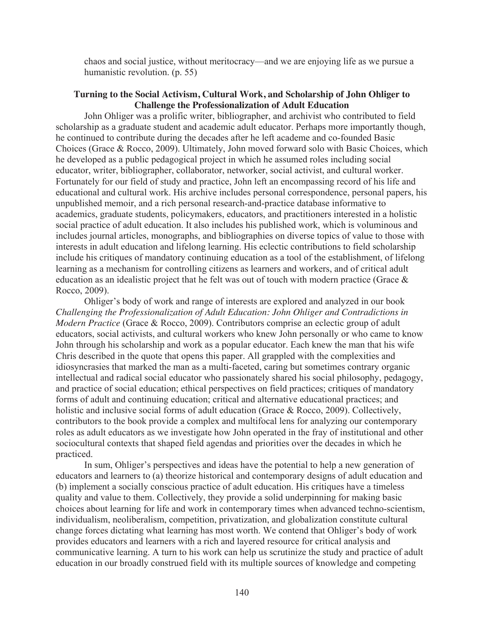chaos and social justice, without meritocracy—and we are enjoying life as we pursue a humanistic revolution. (p. 55)

## **Turning to the Social Activism, Cultural Work, and Scholarship of John Ohliger to Challenge the Professionalization of Adult Education**

John Ohliger was a prolific writer, bibliographer, and archivist who contributed to field scholarship as a graduate student and academic adult educator. Perhaps more importantly though, he continued to contribute during the decades after he left academe and co-founded Basic Choices (Grace & Rocco, 2009). Ultimately, John moved forward solo with Basic Choices, which he developed as a public pedagogical project in which he assumed roles including social educator, writer, bibliographer, collaborator, networker, social activist, and cultural worker. Fortunately for our field of study and practice, John left an encompassing record of his life and educational and cultural work. His archive includes personal correspondence, personal papers, his unpublished memoir, and a rich personal research-and-practice database informative to academics, graduate students, policymakers, educators, and practitioners interested in a holistic social practice of adult education. It also includes his published work, which is voluminous and includes journal articles, monographs, and bibliographies on diverse topics of value to those with interests in adult education and lifelong learning. His eclectic contributions to field scholarship include his critiques of mandatory continuing education as a tool of the establishment, of lifelong learning as a mechanism for controlling citizens as learners and workers, and of critical adult education as an idealistic project that he felt was out of touch with modern practice (Grace & Rocco, 2009).

Ohliger's body of work and range of interests are explored and analyzed in our book *Challenging the Professionalization of Adult Education: John Ohliger and Contradictions in Modern Practice* (Grace & Rocco, 2009). Contributors comprise an eclectic group of adult educators, social activists, and cultural workers who knew John personally or who came to know John through his scholarship and work as a popular educator. Each knew the man that his wife Chris described in the quote that opens this paper. All grappled with the complexities and idiosyncrasies that marked the man as a multi-faceted, caring but sometimes contrary organic intellectual and radical social educator who passionately shared his social philosophy, pedagogy, and practice of social education; ethical perspectives on field practices; critiques of mandatory forms of adult and continuing education; critical and alternative educational practices; and holistic and inclusive social forms of adult education (Grace & Rocco, 2009). Collectively, contributors to the book provide a complex and multifocal lens for analyzing our contemporary roles as adult educators as we investigate how John operated in the fray of institutional and other sociocultural contexts that shaped field agendas and priorities over the decades in which he practiced.

In sum, Ohliger's perspectives and ideas have the potential to help a new generation of educators and learners to (a) theorize historical and contemporary designs of adult education and (b) implement a socially conscious practice of adult education. His critiques have a timeless quality and value to them. Collectively, they provide a solid underpinning for making basic choices about learning for life and work in contemporary times when advanced techno-scientism, individualism, neoliberalism, competition, privatization, and globalization constitute cultural change forces dictating what learning has most worth. We contend that Ohliger's body of work provides educators and learners with a rich and layered resource for critical analysis and communicative learning. A turn to his work can help us scrutinize the study and practice of adult education in our broadly construed field with its multiple sources of knowledge and competing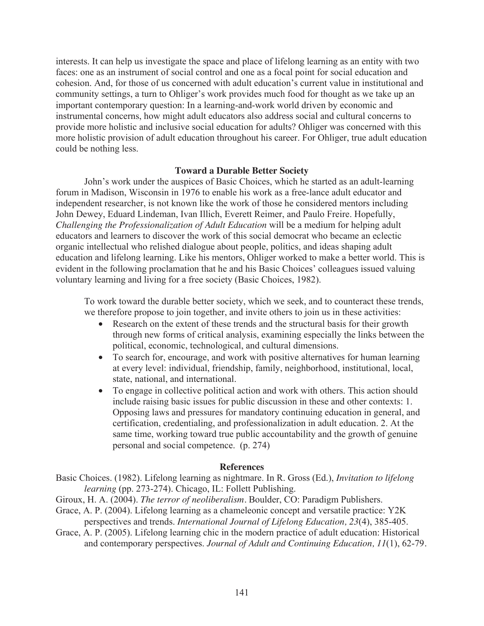interests. It can help us investigate the space and place of lifelong learning as an entity with two faces: one as an instrument of social control and one as a focal point for social education and cohesion. And, for those of us concerned with adult education's current value in institutional and community settings, a turn to Ohliger's work provides much food for thought as we take up an important contemporary question: In a learning-and-work world driven by economic and instrumental concerns, how might adult educators also address social and cultural concerns to provide more holistic and inclusive social education for adults? Ohliger was concerned with this more holistic provision of adult education throughout his career. For Ohliger, true adult education could be nothing less.

### **Toward a Durable Better Society**

John's work under the auspices of Basic Choices, which he started as an adult-learning forum in Madison, Wisconsin in 1976 to enable his work as a free-lance adult educator and independent researcher, is not known like the work of those he considered mentors including John Dewey, Eduard Lindeman, Ivan Illich, Everett Reimer, and Paulo Freire. Hopefully, *Challenging the Professionalization of Adult Education* will be a medium for helping adult educators and learners to discover the work of this social democrat who became an eclectic organic intellectual who relished dialogue about people, politics, and ideas shaping adult education and lifelong learning. Like his mentors, Ohliger worked to make a better world. This is evident in the following proclamation that he and his Basic Choices' colleagues issued valuing voluntary learning and living for a free society (Basic Choices, 1982).

To work toward the durable better society, which we seek, and to counteract these trends, we therefore propose to join together, and invite others to join us in these activities:

- Research on the extent of these trends and the structural basis for their growth through new forms of critical analysis, examining especially the links between the political, economic, technological, and cultural dimensions.
- To search for, encourage, and work with positive alternatives for human learning at every level: individual, friendship, family, neighborhood, institutional, local, state, national, and international.
- To engage in collective political action and work with others. This action should include raising basic issues for public discussion in these and other contexts: 1. Opposing laws and pressures for mandatory continuing education in general, and certification, credentialing, and professionalization in adult education. 2. At the same time, working toward true public accountability and the growth of genuine personal and social competence. (p. 274)

#### **References**

Basic Choices. (1982). Lifelong learning as nightmare. In R. Gross (Ed.), *Invitation to lifelong learning* (pp. 273-274). Chicago, IL: Follett Publishing.

- Giroux, H. A. (2004). *The terror of neoliberalism.* Boulder, CO: Paradigm Publishers.
- Grace, A. P. (2004). Lifelong learning as a chameleonic concept and versatile practice: Y2K perspectives and trends. *International Journal of Lifelong Education, 23*(4), 385-405.
- Grace, A. P. (2005). Lifelong learning chic in the modern practice of adult education: Historical and contemporary perspectives. *Journal of Adult and Continuing Education, 11*(1), 62-79*.*